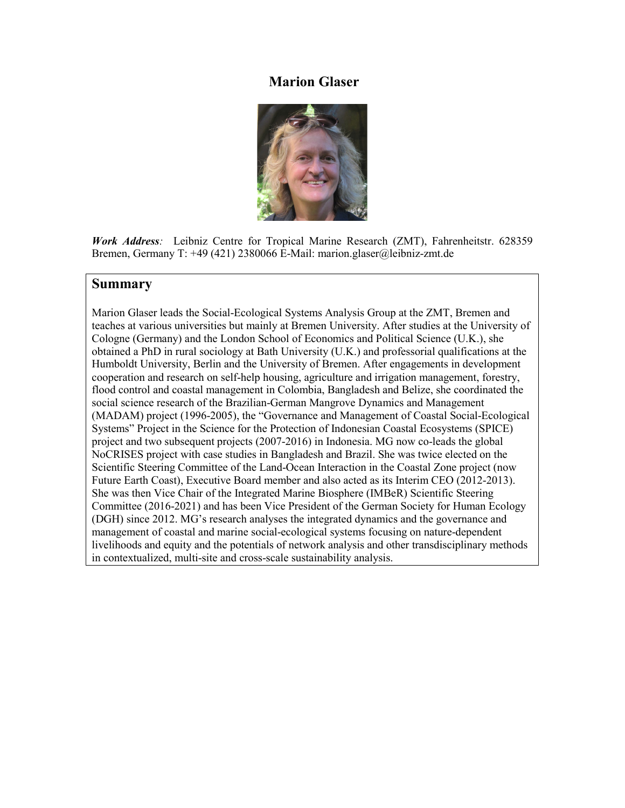# **Marion Glaser**



*Work Address:* Leibniz Centre for Tropical Marine Research (ZMT), Fahrenheitstr. 628359 Bremen, Germany T: +49 (421) 2380066 E-Mail: marion.glaser@leibniz-zmt.de

# **Summary**

Marion Glaser leads the Social-Ecological Systems Analysis Group at the ZMT, Bremen and teaches at various universities but mainly at Bremen University. After studies at the University of Cologne (Germany) and the London School of Economics and Political Science (U.K.), she obtained a PhD in rural sociology at Bath University (U.K.) and professorial qualifications at the Humboldt University, Berlin and the University of Bremen. After engagements in development cooperation and research on self-help housing, agriculture and irrigation management, forestry, flood control and coastal management in Colombia, Bangladesh and Belize, she coordinated the social science research of the Brazilian-German Mangrove Dynamics and Management (MADAM) project (1996-2005), the "Governance and Management of Coastal Social-Ecological Systems" Project in the Science for the Protection of Indonesian Coastal Ecosystems (SPICE) project and two subsequent projects (2007-2016) in Indonesia. MG now co-leads the global NoCRISES project with case studies in Bangladesh and Brazil. She was twice elected on the Scientific Steering Committee of the Land-Ocean Interaction in the Coastal Zone project (now Future Earth Coast), Executive Board member and also acted as its Interim CEO (2012-2013). She was then Vice Chair of the Integrated Marine Biosphere (IMBeR) Scientific Steering Committee (2016-2021) and has been Vice President of the German Society for Human Ecology (DGH) since 2012. MG's research analyses the integrated dynamics and the governance and management of coastal and marine social-ecological systems focusing on nature-dependent livelihoods and equity and the potentials of network analysis and other transdisciplinary methods in contextualized, multi-site and cross-scale sustainability analysis.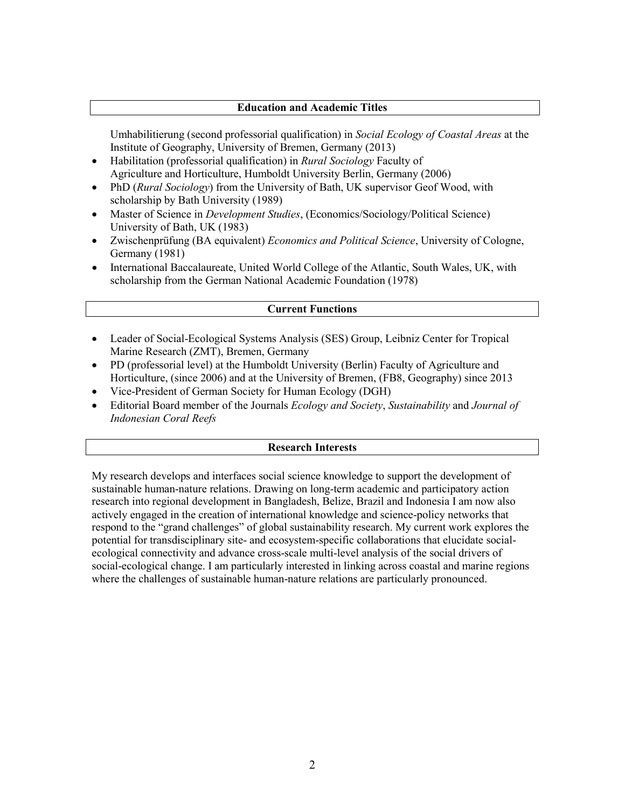#### **Education and Academic Titles**

Umhabilitierung (second professorial qualification) in *Social Ecology of Coastal Areas* at the Institute of Geography, University of Bremen, Germany (2013)

- Habilitation (professorial qualification) in *Rural Sociology* Faculty of Agriculture and Horticulture, Humboldt University Berlin, Germany (2006)
- PhD (*Rural Sociology*) from the University of Bath, UK supervisor Geof Wood, with scholarship by Bath University (1989)
- Master of Science in *Development Studies*, (Economics/Sociology/Political Science) University of Bath, UK (1983)
- Zwischenprüfung (BA equivalent) *Economics and Political Science*, University of Cologne, Germany (1981)
- International Baccalaureate, United World College of the Atlantic, South Wales, UK, with scholarship from the German National Academic Foundation (1978)

### **Current Functions**

- Leader of Social-Ecological Systems Analysis (SES) Group, Leibniz Center for Tropical Marine Research (ZMT), Bremen, Germany
- PD (professorial level) at the Humboldt University (Berlin) Faculty of Agriculture and Horticulture, (since 2006) and at the University of Bremen, (FB8, Geography) since 2013
- Vice-President of German Society for Human Ecology (DGH)
- Editorial Board member of the Journals *Ecology and Society*, *Sustainability* and *Journal of Indonesian Coral Reefs*

#### **Research Interests**

My research develops and interfaces social science knowledge to support the development of sustainable human-nature relations. Drawing on long-term academic and participatory action research into regional development in Bangladesh, Belize, Brazil and Indonesia I am now also actively engaged in the creation of international knowledge and science-policy networks that respond to the "grand challenges" of global sustainability research. My current work explores the potential for transdisciplinary site- and ecosystem-specific collaborations that elucidate socialecological connectivity and advance cross-scale multi-level analysis of the social drivers of social-ecological change. I am particularly interested in linking across coastal and marine regions where the challenges of sustainable human-nature relations are particularly pronounced.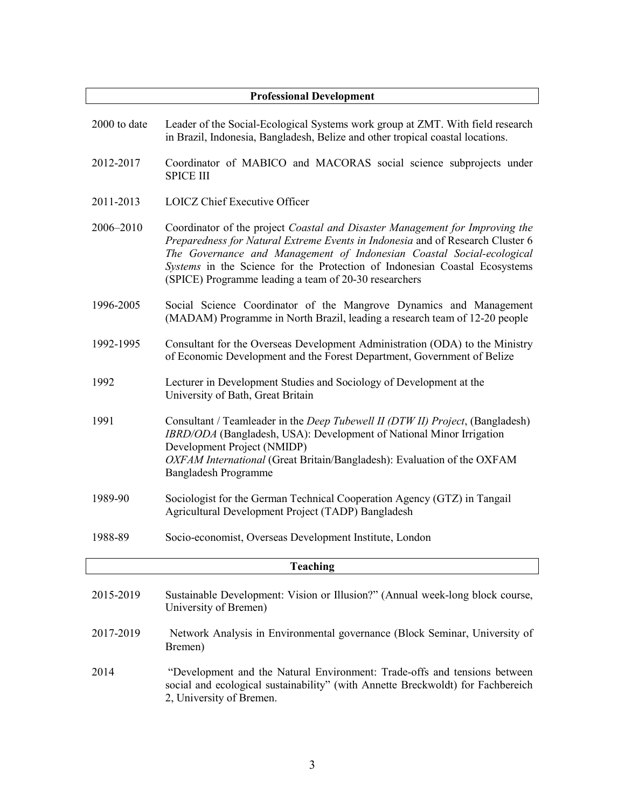| <b>Professional Development</b> |                                                                                                                                                                                                                                                                                                                                                                                |  |
|---------------------------------|--------------------------------------------------------------------------------------------------------------------------------------------------------------------------------------------------------------------------------------------------------------------------------------------------------------------------------------------------------------------------------|--|
| 2000 to date                    | Leader of the Social-Ecological Systems work group at ZMT. With field research<br>in Brazil, Indonesia, Bangladesh, Belize and other tropical coastal locations.                                                                                                                                                                                                               |  |
| 2012-2017                       | Coordinator of MABICO and MACORAS social science subprojects under<br><b>SPICE III</b>                                                                                                                                                                                                                                                                                         |  |
| 2011-2013                       | <b>LOICZ Chief Executive Officer</b>                                                                                                                                                                                                                                                                                                                                           |  |
| 2006-2010                       | Coordinator of the project Coastal and Disaster Management for Improving the<br>Preparedness for Natural Extreme Events in Indonesia and of Research Cluster 6<br>The Governance and Management of Indonesian Coastal Social-ecological<br>Systems in the Science for the Protection of Indonesian Coastal Ecosystems<br>(SPICE) Programme leading a team of 20-30 researchers |  |
| 1996-2005                       | Social Science Coordinator of the Mangrove Dynamics and Management<br>(MADAM) Programme in North Brazil, leading a research team of 12-20 people                                                                                                                                                                                                                               |  |
| 1992-1995                       | Consultant for the Overseas Development Administration (ODA) to the Ministry<br>of Economic Development and the Forest Department, Government of Belize                                                                                                                                                                                                                        |  |
| 1992                            | Lecturer in Development Studies and Sociology of Development at the<br>University of Bath, Great Britain                                                                                                                                                                                                                                                                       |  |
| 1991                            | Consultant / Teamleader in the Deep Tubewell II (DTW II) Project, (Bangladesh)<br>IBRD/ODA (Bangladesh, USA): Development of National Minor Irrigation<br>Development Project (NMIDP)<br>OXFAM International (Great Britain/Bangladesh): Evaluation of the OXFAM<br>Bangladesh Programme                                                                                       |  |
| 1989-90                         | Sociologist for the German Technical Cooperation Agency (GTZ) in Tangail<br>Agricultural Development Project (TADP) Bangladesh                                                                                                                                                                                                                                                 |  |
| 1988-89                         | Socio-economist, Overseas Development Institute, London                                                                                                                                                                                                                                                                                                                        |  |
| <b>Teaching</b>                 |                                                                                                                                                                                                                                                                                                                                                                                |  |
| 2015-2019                       | Sustainable Development: Vision or Illusion?" (Annual week-long block course,<br>University of Bremen)                                                                                                                                                                                                                                                                         |  |
| 2017-2019                       | Network Analysis in Environmental governance (Block Seminar, University of                                                                                                                                                                                                                                                                                                     |  |

Bremen) 2014 "Development and the Natural Environment: Trade-offs and tensions between social and ecological sustainability" (with Annette Breckwoldt) for Fachbereich 2, University of Bremen.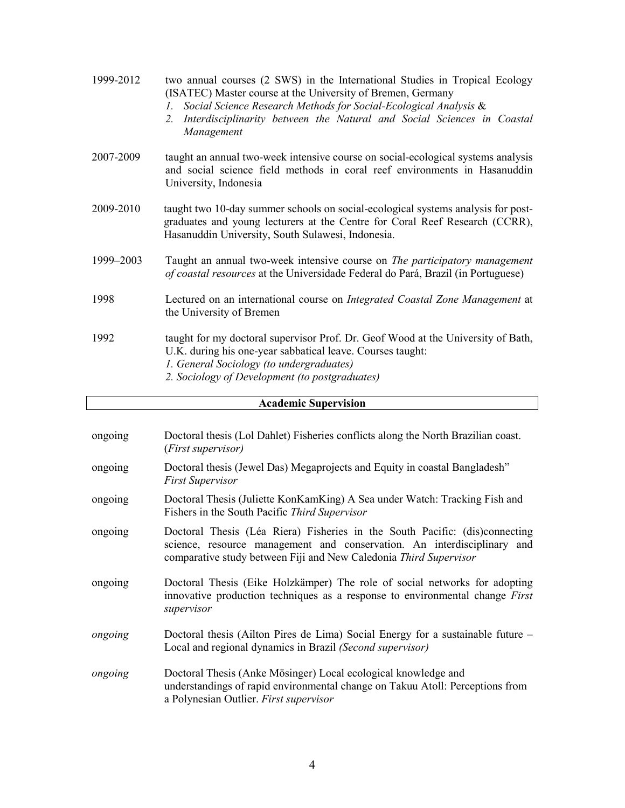| 1999-2012 | two annual courses (2 SWS) in the International Studies in Tropical Ecology<br>(ISATEC) Master course at the University of Bremen, Germany<br>Social Science Research Methods for Social-Ecological Analysis &<br>Ι.<br>Interdisciplinarity between the Natural and Social Sciences in Coastal<br>2.<br>Management |
|-----------|--------------------------------------------------------------------------------------------------------------------------------------------------------------------------------------------------------------------------------------------------------------------------------------------------------------------|
| 2007-2009 | taught an annual two-week intensive course on social-ecological systems analysis<br>and social science field methods in coral reef environments in Hasanuddin<br>University, Indonesia                                                                                                                             |
| 2009-2010 | taught two 10-day summer schools on social-ecological systems analysis for post-<br>graduates and young lecturers at the Centre for Coral Reef Research (CCRR),<br>Hasanuddin University, South Sulawesi, Indonesia.                                                                                               |
| 1999-2003 | Taught an annual two-week intensive course on <i>The participatory management</i><br>of coastal resources at the Universidade Federal do Pará, Brazil (in Portuguese)                                                                                                                                              |
| 1998      | Lectured on an international course on <i>Integrated Coastal Zone Management</i> at<br>the University of Bremen                                                                                                                                                                                                    |
| 1992      | taught for my doctoral supervisor Prof. Dr. Geof Wood at the University of Bath,<br>U.K. during his one-year sabbatical leave. Courses taught:<br>1. General Sociology (to undergraduates)<br>2. Sociology of Development (to postgraduates)                                                                       |

# **Academic Supervision**

| ongoing | Doctoral thesis (Lol Dahlet) Fisheries conflicts along the North Brazilian coast.<br>( <i>First supervisor</i> )                                                                                                            |
|---------|-----------------------------------------------------------------------------------------------------------------------------------------------------------------------------------------------------------------------------|
| ongoing | Doctoral thesis (Jewel Das) Megaprojects and Equity in coastal Bangladesh"<br><b>First Supervisor</b>                                                                                                                       |
| ongoing | Doctoral Thesis (Juliette KonKamKing) A Sea under Watch: Tracking Fish and<br>Fishers in the South Pacific Third Supervisor                                                                                                 |
| ongoing | Doctoral Thesis (Léa Riera) Fisheries in the South Pacific: (dis)connecting<br>science, resource management and conservation. An interdisciplinary and<br>comparative study between Fiji and New Caledonia Third Supervisor |
| ongoing | Doctoral Thesis (Eike Holzkämper) The role of social networks for adopting<br>innovative production techniques as a response to environmental change First<br>supervisor                                                    |
| ongoing | Doctoral thesis (Ailton Pires de Lima) Social Energy for a sustainable future –<br>Local and regional dynamics in Brazil (Second supervisor)                                                                                |
| ongoing | Doctoral Thesis (Anke Mösinger) Local ecological knowledge and<br>understandings of rapid environmental change on Takuu Atoll: Perceptions from<br>a Polynesian Outlier. First supervisor                                   |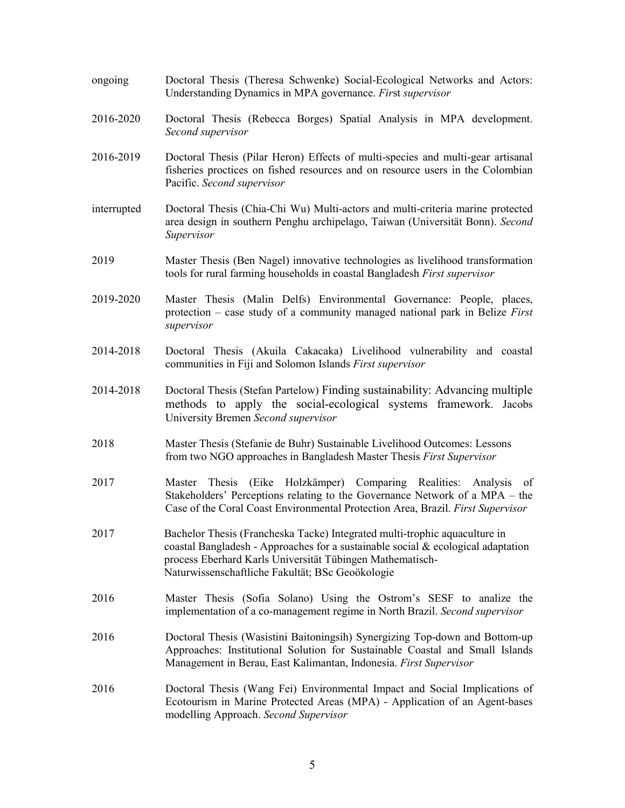ongoing Doctoral Thesis (Theresa Schwenke) Social-Ecological Networks and Actors: Understanding Dynamics in MPA governance. *Fir*st *supervisor* 2016-2020 Doctoral Thesis (Rebecca Borges) Spatial Analysis in MPA development. *Second supervisor* 2016-2019 Doctoral Thesis (Pilar Heron) Effects of multi-species and multi-gear artisanal fisheries proctices on fished resources and on resource users in the Colombian Pacific. *Second supervisor* interrupted Doctoral Thesis (Chia-Chi Wu) Multi-actors and multi-criteria marine protected area design in southern Penghu archipelago, Taiwan (Universität Bonn). *Second Supervisor* 2019 Master Thesis (Ben Nagel) innovative technologies as livelihood transformation tools for rural farming households in coastal Bangladesh *First supervisor* 2019-2020 Master Thesis (Malin Delfs) Environmental Governance: People, places, protection – case study of a community managed national park in Belize *First supervisor* 2014-2018 Doctoral Thesis (Akuila Cakacaka) Livelihood vulnerability and coastal communities in Fiji and Solomon Islands *First supervisor* 2014-2018 Doctoral Thesis (Stefan Partelow) Finding sustainability: Advancing multiple methods to apply the social-ecological systems framework. Jacobs University Bremen *Second supervisor* 2018 Master Thesis (Stefanie de Buhr) Sustainable Livelihood Outcomes: Lessons from two NGO approaches in Bangladesh Master Thesis *First Supervisor* 2017 Master Thesis (Eike Holzkämper) Comparing Realities: Analysis of Stakeholders' Perceptions relating to the Governance Network of a MPA – the Case of the Coral Coast Environmental Protection Area, Brazil. *First Supervisor* 2017 Bachelor Thesis (Francheska Tacke) Integrated multi-trophic aquaculture in coastal Bangladesh - Approaches for a sustainable social  $\&$  ecological adaptation process Eberhard Karls Universität Tübingen Mathematisch-Naturwissenschaftliche Fakultät; BSc Geoökologie 2016 Master Thesis (Sofia Solano) Using the Ostrom's SESF to analize the implementation of a co-management regime in North Brazil. *Second supervisor* 2016 Doctoral Thesis (Wasistini Baitoningsih) Synergizing Top-down and Bottom-up Approaches: Institutional Solution for Sustainable Coastal and Small Islands Management in Berau, East Kalimantan, Indonesia. *First Supervisor* 2016 Doctoral Thesis (Wang Fei) Environmental Impact and Social Implications of Ecotourism in Marine Protected Areas (MPA) - Application of an Agent-bases modelling Approach. *Second Supervisor*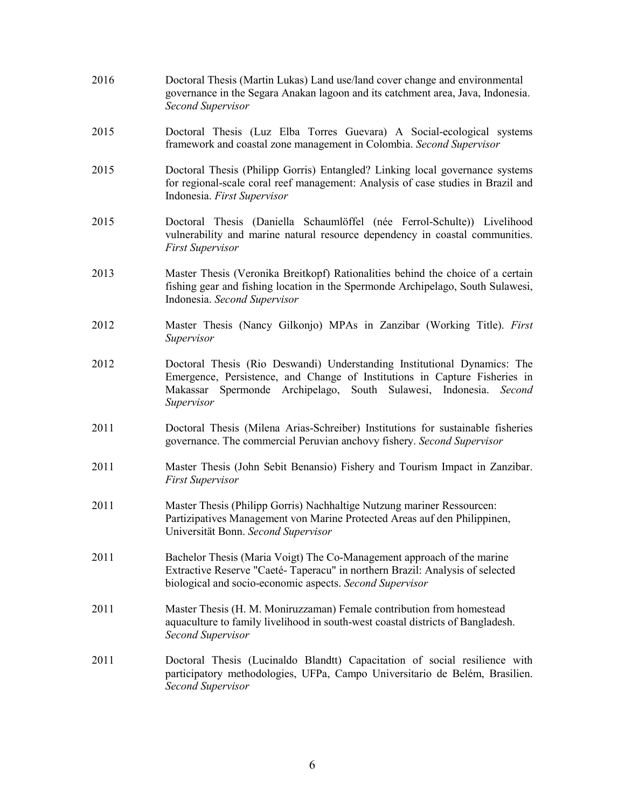- 2016 Doctoral Thesis (Martin Lukas) Land use/land cover change and environmental governance in the Segara Anakan lagoon and its catchment area, Java, Indonesia. *Second Supervisor*
- 2015 Doctoral Thesis (Luz Elba Torres Guevara) A Social-ecological systems framework and coastal zone management in Colombia. *Second Supervisor*
- 2015 Doctoral Thesis (Philipp Gorris) Entangled? Linking local governance systems for regional-scale coral reef management: Analysis of case studies in Brazil and Indonesia. *First Supervisor*
- 2015 Doctoral Thesis (Daniella Schaumlöffel (née Ferrol-Schulte)) Livelihood vulnerability and marine natural resource dependency in coastal communities. *First Supervisor*
- 2013 Master Thesis (Veronika Breitkopf) Rationalities behind the choice of a certain fishing gear and fishing location in the Spermonde Archipelago, South Sulawesi, Indonesia. *Second Supervisor*
- 2012 Master Thesis (Nancy Gilkonjo) MPAs in Zanzibar (Working Title). *First Supervisor*
- 2012 Doctoral Thesis (Rio Deswandi) Understanding Institutional Dynamics: The Emergence, Persistence, and Change of Institutions in Capture Fisheries in Makassar Spermonde Archipelago, South Sulawesi, Indonesia. *Second Supervisor*
- 2011 Doctoral Thesis (Milena Arias-Schreiber) Institutions for sustainable fisheries governance. The commercial Peruvian anchovy fishery. *Second Supervisor*
- 2011 Master Thesis (John Sebit Benansio) Fishery and Tourism Impact in Zanzibar. *First Supervisor*
- 2011 Master Thesis (Philipp Gorris) Nachhaltige Nutzung mariner Ressourcen: Partizipatives Management von Marine Protected Areas auf den Philippinen, Universität Bonn. *Second Supervisor*
- 2011 Bachelor Thesis (Maria Voigt) The Co-Management approach of the marine Extractive Reserve "Caeté- Taperacu" in northern Brazil: Analysis of selected biological and socio-economic aspects. *Second Supervisor*
- 2011 Master Thesis (H. M. Moniruzzaman) Female contribution from homestead aquaculture to family livelihood in south-west coastal districts of Bangladesh. *Second Supervisor*
- 2011 Doctoral Thesis (Lucinaldo Blandtt) Capacitation of social resilience with participatory methodologies, UFPa, Campo Universitario de Belém, Brasilien. *Second Supervisor*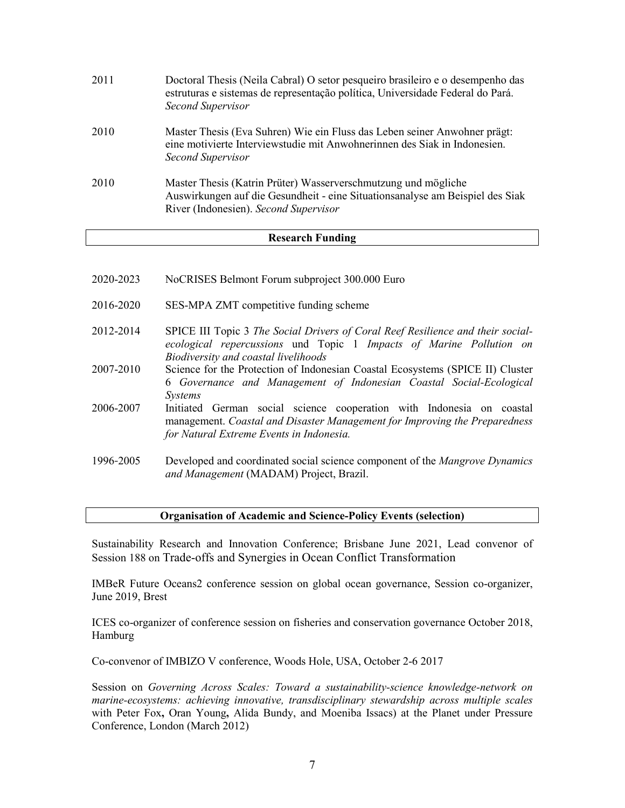| 2011 | Doctoral Thesis (Neila Cabral) O setor pesqueiro brasileiro e o desempenho das<br>estruturas e sistemas de representação política, Universidade Federal do Pará.<br>Second Supervisor    |
|------|------------------------------------------------------------------------------------------------------------------------------------------------------------------------------------------|
| 2010 | Master Thesis (Eva Suhren) Wie ein Fluss das Leben seiner Anwohner prägt:<br>eine motivierte Interviewstudie mit Anwohnerinnen des Siak in Indonesien.<br>Second Supervisor              |
| 2010 | Master Thesis (Katrin Prüter) Wasserverschmutzung und mögliche<br>Auswirkungen auf die Gesundheit - eine Situationsanalyse am Beispiel des Siak<br>River (Indonesien). Second Supervisor |

#### **Research Funding**

| 2020-2023 | NoCRISES Belmont Forum subproject 300.000 Euro                                                                                                                                                  |
|-----------|-------------------------------------------------------------------------------------------------------------------------------------------------------------------------------------------------|
| 2016-2020 | SES-MPA ZMT competitive funding scheme                                                                                                                                                          |
| 2012-2014 | SPICE III Topic 3 The Social Drivers of Coral Reef Resilience and their social-<br>ecological repercussions und Topic 1 Impacts of Marine Pollution on<br>Biodiversity and coastal livelihoods  |
| 2007-2010 | Science for the Protection of Indonesian Coastal Ecosystems (SPICE II) Cluster<br>6 Governance and Management of Indonesian Coastal Social-Ecological<br><i>Systems</i>                         |
| 2006-2007 | Initiated German social science cooperation with Indonesia on coastal<br>management. Coastal and Disaster Management for Improving the Preparedness<br>for Natural Extreme Events in Indonesia. |
| 1996-2005 | Developed and coordinated social science component of the Mangrove Dynamics<br>and Management (MADAM) Project, Brazil.                                                                          |

#### **Organisation of Academic and Science-Policy Events (selection)**

Sustainability Research and Innovation Conference; Brisbane June 2021, Lead convenor of Session 188 on Trade-offs and Synergies in Ocean Conflict Transformation

IMBeR Future Oceans2 conference session on global ocean governance, Session co-organizer, June 2019, Brest

ICES co-organizer of conference session on fisheries and conservation governance October 2018, Hamburg

Co-convenor of IMBIZO V conference, Woods Hole, USA, October 2-6 2017

Session on *Governing Across Scales: Toward a sustainability-science knowledge-network on marine-ecosystems: achieving innovative, transdisciplinary stewardship across multiple scales* with Peter Fox**,** Oran Young**,** Alida Bundy, and Moeniba Issacs) at the Planet under Pressure Conference, London (March 2012)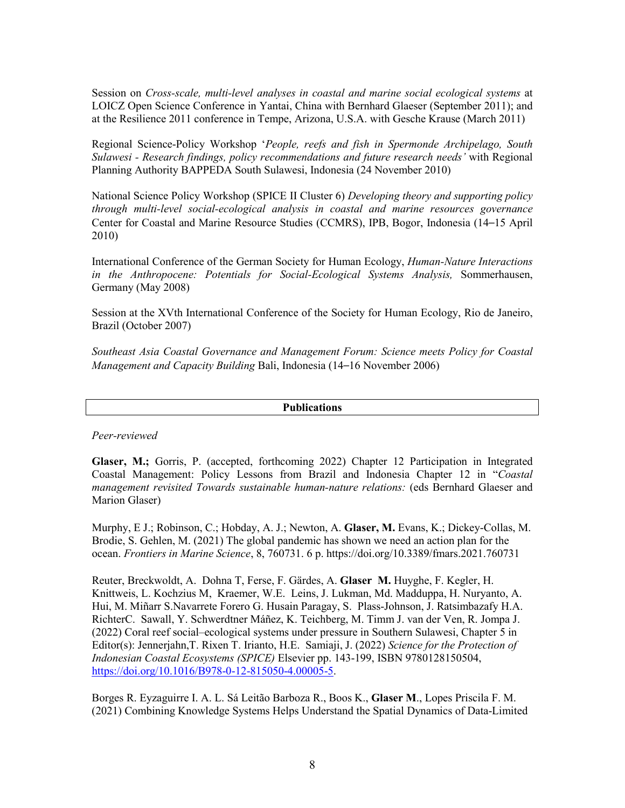Session on *Cross-scale, multi-level analyses in coastal and marine social ecological systems* at LOICZ Open Science Conference in Yantai, China with Bernhard Glaeser (September 2011); and at the Resilience 2011 conference in Tempe, Arizona, U.S.A. with Gesche Krause (March 2011)

Regional Science-Policy Workshop '*People, reefs and fish in Spermonde Archipelago, South Sulawesi - Research findings, policy recommendations and future research needs'* with Regional Planning Authority BAPPEDA South Sulawesi, Indonesia (24 November 2010)

National Science Policy Workshop (SPICE II Cluster 6) *Developing theory and supporting policy through multi-level social-ecological analysis in coastal and marine resources governance* Center for Coastal and Marine Resource Studies (CCMRS), IPB, Bogor, Indonesia (14–15 April 2010)

International Conference of the German Society for Human Ecology, *Human-Nature Interactions in the Anthropocene: Potentials for Social-Ecological Systems Analysis,* Sommerhausen, Germany (May 2008)

Session at the XVth International Conference of the Society for Human Ecology, Rio de Janeiro, Brazil (October 2007)

*Southeast Asia Coastal Governance and Management Forum: Science meets Policy for Coastal Management and Capacity Building* Bali, Indonesia (14–16 November 2006)

#### **Publications**

*Peer-reviewed*

**Glaser, M.;** Gorris, P. (accepted, forthcoming 2022) Chapter 12 Participation in Integrated Coastal Management: Policy Lessons from Brazil and Indonesia Chapter 12 in "*Coastal management revisited Towards sustainable human-nature relations:* (eds Bernhard Glaeser and Marion Glaser)

Murphy, E J.; Robinson, C.; Hobday, A. J.; Newton, A. **Glaser, M.** Evans, K.; Dickey-Collas, M. Brodie, S. Gehlen, M. (2021) The global pandemic has shown we need an action plan for the ocean. *Frontiers in Marine Science*, 8, 760731. 6 p[. https://doi.org/10.3389/fmars.2021.760731](https://doi.org/10.3389/fmars.2021.760731)

Reuter, Breckwoldt, A. Dohna T, Ferse, F. Gärdes, A. **Glaser M.** Huyghe, F. Kegler, H. Knittweis, L. Kochzius M, Kraemer, W.E. Leins, J. Lukman, Md. Madduppa, H. Nuryanto, A. Hui, M. Miñarr S.Navarrete Forero G. Husain Paragay, S. Plass-Johnson, J. Ratsimbazafy H.A. RichterC. Sawall, Y. Schwerdtner Máñez, K. Teichberg, M. Timm J. van der Ven, R. Jompa J. (2022) Coral reef social–ecological systems under pressure in Southern Sulawesi, Chapter 5 in Editor(s): Jennerjahn,T. Rixen T. Irianto, H.E. Samiaji, J. (2022) *Science for the Protection of Indonesian Coastal Ecosystems (SPICE)* Elsevier pp. 143-199, ISBN 9780128150504, [https://doi.org/10.1016/B978-0-12-815050-4.00005-5.](https://doi.org/10.1016/B978-0-12-815050-4.00005-5)

Borges R. Eyzaguirre I. A. L. Sá Leitão Barboza R., Boos K., **Glaser M**., Lopes Priscila F. M. (2021) Combining Knowledge Systems Helps Understand the Spatial Dynamics of Data-Limited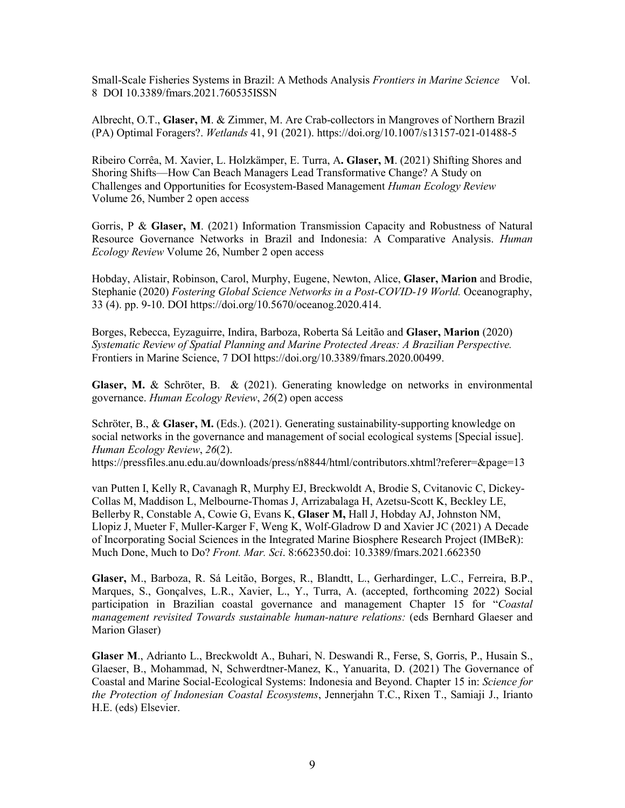Small-Scale Fisheries Systems in Brazil: A Methods Analysis *Frontiers in Marine Science* Vol. 8 DOI 10.3389/fmars.2021.760535ISSN

Albrecht, O.T., **Glaser, M**. & Zimmer, M. Are Crab-collectors in Mangroves of Northern Brazil (PA) Optimal Foragers?. *Wetlands* 41, 91 (2021). https://doi.org/10.1007/s13157-021-01488-5

Ribeiro Corrêa, M. Xavier, L. Holzkämper, E. Turra, A**. Glaser, M**. (2021) Shifting Shores and Shoring Shifts—How Can Beach Managers Lead Transformative Change? A Study on Challenges and Opportunities for Ecosystem-Based Management *Human Ecology Review*  Volume 26, Number 2 open access

Gorris, P & **Glaser, M**. (2021) Information Transmission Capacity and Robustness of Natural Resource Governance Networks in Brazil and Indonesia: A Comparative Analysis. *Human Ecology Review* Volume 26, Number 2 open access

Hobday, Alistair, Robinson, Carol, Murphy, Eugene, Newton, Alice, **Glaser, Marion** and Brodie, Stephanie (2020) *[Fostering Global Science Networks in a Post-COVID-19 World.](http://cris.leibniz-zmt.de/id/eprint/4490/)* Oceanography, 33 (4). pp. 9-10. DOI [https://doi.org/10.5670/oceanog.2020.414.](https://doi.org/10.5670/oceanog.2020.414)

Borges, Rebecca, Eyzaguirre, Indira, Barboza, Roberta Sá Leitão and **Glaser, Marion** (2020) *[Systematic Review of Spatial Planning and Marine Protected Areas: A Brazilian Perspective.](http://cris.leibniz-zmt.de/id/eprint/4533/)*  Frontiers in Marine Science, 7 DOI [https://doi.org/10.3389/fmars.2020.00499.](https://doi.org/10.3389/fmars.2020.00499)

**Glaser, M.** & Schröter, B. & (2021). Generating knowledge on networks in environmental governance. *Human Ecology Review*, *26*(2) open access

Schröter, B., & **Glaser, M.** (Eds.). (2021). Generating sustainability-supporting knowledge on social networks in the governance and management of social ecological systems [Special issue]. *Human Ecology Review*, *26*(2).

https://pressfiles.anu.edu.au/downloads/press/n8844/html/contributors.xhtml?referer=&page=13

van Putten I, Kelly R, Cavanagh R, Murphy EJ, Breckwoldt A, Brodie S, Cvitanovic C, Dickey-Collas M, Maddison L, Melbourne-Thomas J, Arrizabalaga H, Azetsu-Scott K, Beckley LE, Bellerby R, Constable A, Cowie G, Evans K, **Glaser M,** Hall J, Hobday AJ, Johnston NM, Llopiz J, Mueter F, Muller-Karger F, Weng K, Wolf-Gladrow D and Xavier JC (2021) A Decade of Incorporating Social Sciences in the Integrated Marine Biosphere Research Project (IMBeR): Much Done, Much to Do? *Front. Mar. Sci*. 8:662350.doi: 10.3389/fmars.2021.662350

**Glaser,** M., Barboza, R. Sá Leitão, Borges, R., Blandtt, L., Gerhardinger, L.C., Ferreira, B.P., Marques, S., Gonçalves, L.R., Xavier, L., Y., Turra, A. (accepted, forthcoming 2022) Social participation in Brazilian coastal governance and management Chapter 15 for "*Coastal management revisited Towards sustainable human-nature relations:* (eds Bernhard Glaeser and Marion Glaser)

**Glaser M**., Adrianto L., Breckwoldt A., Buhari, N. Deswandi R., Ferse, S, Gorris, P., Husain S., Glaeser, B., Mohammad, N, Schwerdtner-Manez, K., Yanuarita, D. (2021) The Governance of Coastal and Marine Social-Ecological Systems: Indonesia and Beyond. Chapter 15 in: *Science for the Protection of Indonesian Coastal Ecosystems*, Jennerjahn T.C., Rixen T., Samiaji J., Irianto H.E. (eds) Elsevier.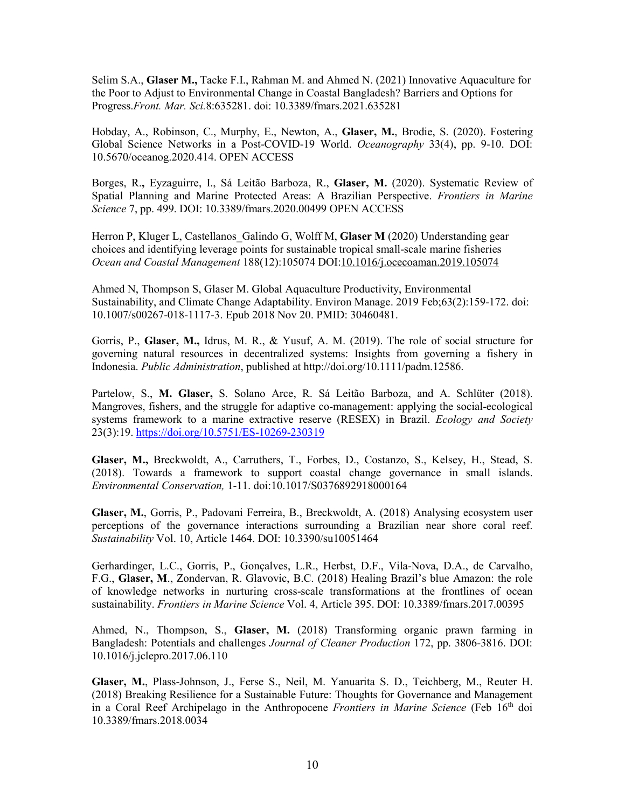Selim S.A., **Glaser M.,** Tacke F.I., Rahman M. and Ahmed N. (2021) Innovative Aquaculture for the Poor to Adjust to Environmental Change in Coastal Bangladesh? Barriers and Options for Progress.*Front. Mar. Sci.*8:635281. doi: 10.3389/fmars.2021.635281

Hobday, A., Robinson, C., Murphy, E., Newton, A., **Glaser, M.**, Brodie, S. (2020). [Fostering](https://tos.org/oceanography/article/fostering-global-science-networks-in-a-post-covid-19-world)  [Global Science Networks in a Post-COVID-19 World.](https://tos.org/oceanography/article/fostering-global-science-networks-in-a-post-covid-19-world) *Oceanography* 33(4), pp. 9-10. DOI: [10.5670/oceanog.2020.414.](https://doi.org/10.5670/oceanog.2020.414) OPEN ACCESS

Borges, R.**,** Eyzaguirre, I., Sá Leitão Barboza, R., **Glaser, M.** (2020). [Systematic Review of](https://www.frontiersin.org/articles/10.3389/fmars.2020.00499/full)  [Spatial Planning and Marine Protected Areas: A Brazilian Perspective.](https://www.frontiersin.org/articles/10.3389/fmars.2020.00499/full) *Frontiers in Marine Science* 7, pp. 499. DOI: [10.3389/fmars.2020.00499](https://doi.org/10.3389/fmars.2020.00499) OPEN ACCESS

Herron P, Kluger L, Castellanos Galindo G, Wolff M, Glaser M (2020) Understanding gear choices and identifying leverage points for sustainable tropical small-scale marine fisheries *Ocean and Coastal Management* 188(12):105074 DOI[:10.1016/j.ocecoaman.2019.105074](http://dx.doi.org/10.1016/j.ocecoaman.2019.105074)

Ahmed N, Thompson S, Glaser M. Global Aquaculture Productivity, Environmental Sustainability, and Climate Change Adaptability. Environ Manage. 2019 Feb;63(2):159-172. doi: 10.1007/s00267-018-1117-3. Epub 2018 Nov 20. PMID: 30460481.

Gorris, P., **Glaser, M.,** Idrus, M. R., & Yusuf, A. M. (2019). The role of social structure for governing natural resources in decentralized systems: Insights from governing a fishery in Indonesia. *Public Administration*, published at http://doi.org/10.1111/padm.12586.

Partelow, S., **M. Glaser,** S. Solano Arce, R. Sá Leitão Barboza, and A. Schlüter (2018). Mangroves, fishers, and the struggle for adaptive co-management: applying the social-ecological systems framework to a marine extractive reserve (RESEX) in Brazil. *Ecology and Society* 23(3):19.<https://doi.org/10.5751/ES-10269-230319>

**Glaser, M.,** Breckwoldt, A., Carruthers, T., Forbes, D., Costanzo, S., Kelsey, H., Stead, S. (2018). Towards a framework to support coastal change governance in small islands. *Environmental Conservation,* 1-11. doi:10.1017/S0376892918000164

**Glaser, M.**, Gorris, P., Padovani Ferreira, B., Breckwoldt, A. (2018) Analysing ecosystem user perceptions of the governance interactions surrounding a Brazilian near shore coral reef. *Sustainability* Vol. 10, Article 1464. DOI: 10.3390/su10051464

Gerhardinger, L.C., Gorris, P., Gonçalves, L.R., Herbst, D.F., Vila-Nova, D.A., de Carvalho, F.G., **Glaser, M**., Zondervan, R. Glavovic, B.C. (2018) Healing Brazil's blue Amazon: the role of knowledge networks in nurturing cross-scale transformations at the frontlines of ocean sustainability. *Frontiers in Marine Science* Vol. 4, Article 395. DOI: 10.3389/fmars.2017.00395

Ahmed, N., Thompson, S., **Glaser, M.** (2018) Transforming organic prawn farming in Bangladesh: Potentials and challenges *Journal of Cleaner Production* 172, pp. 3806-3816. DOI: 10.1016/j.jclepro.2017.06.110

**Glaser, M.**, Plass-Johnson, J., Ferse S., Neil, M. Yanuarita S. D., Teichberg, M., Reuter H. (2018) Breaking Resilience for a Sustainable Future: Thoughts for Governance and Management in a Coral Reef Archipelago in the Anthropocene *Frontiers in Marine Science* (Feb 16th doi 10.3389/fmars.2018.0034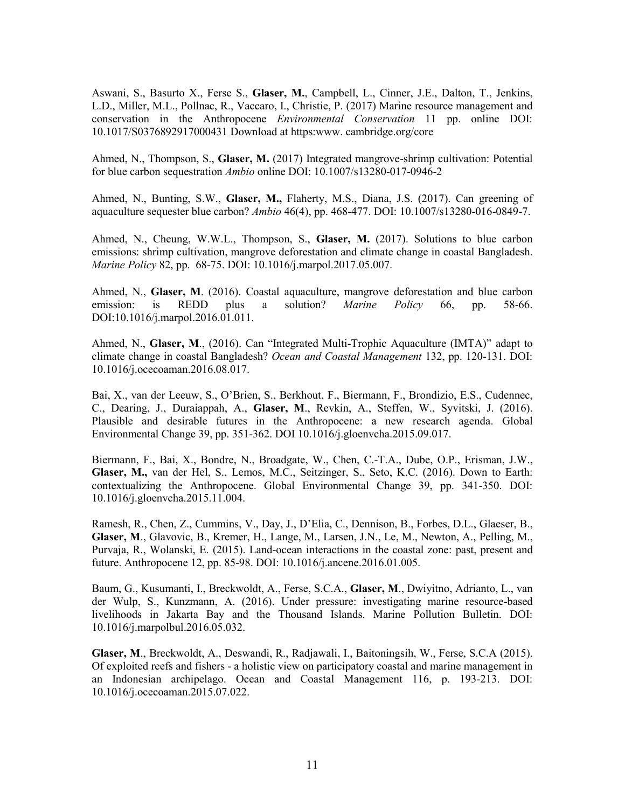Aswani, S., Basurto X., Ferse S., **Glaser, M.**, Campbell, L., Cinner, J.E., Dalton, T., Jenkins, L.D., Miller, M.L., Pollnac, R., Vaccaro, I., Christie, P. (2017) Marine resource management and conservation in the Anthropocene *Environmental Conservation* 11 pp. online DOI: 10.1017/S0376892917000431 Download at https:www. cambridge.org/core

Ahmed, N., Thompson, S., **Glaser, M.** (2017) Integrated mangrove-shrimp cultivation: Potential for blue carbon sequestration *Ambio* online DOI: 10.1007/s13280-017-0946-2

Ahmed, N., Bunting, S.W., **Glaser, M.,** Flaherty, M.S., Diana, J.S. (2017). Can greening of aquaculture sequester blue carbon? *Ambio* 46(4), pp. 468-477. DOI: 10.1007/s13280-016-0849-7.

Ahmed, N., Cheung, W.W.L., Thompson, S., **Glaser, M.** (2017). Solutions to blue carbon emissions: shrimp cultivation, mangrove deforestation and climate change in coastal Bangladesh. *Marine Policy* 82, pp. 68-75. DOI: 10.1016/j.marpol.2017.05.007.

Ahmed, N., **Glaser, M**. (2016). Coastal aquaculture, mangrove deforestation and blue carbon emission: is REDD plus a solution? *Marine Policy* 66, pp. 58-66. DOI:10.1016/j.marpol.2016.01.011.

Ahmed, N., **Glaser, M**., (2016). Can "Integrated Multi-Trophic Aquaculture (IMTA)" adapt to climate change in coastal Bangladesh? *Ocean and Coastal Management* 132, pp. 120-131. DOI: 10.1016/j.ocecoaman.2016.08.017.

Bai, X., van der Leeuw, S., O'Brien, S., Berkhout, F., Biermann, F., Brondizio, E.S., Cudennec, C., Dearing, J., Duraiappah, A., **Glaser, M**., Revkin, A., Steffen, W., Syvitski, J. (2016). Plausible and desirable futures in the Anthropocene: a new research agenda. Global Environmental Change 39, pp. 351-362. DOI 10.1016/j.gloenvcha.2015.09.017.

Biermann, F., Bai, X., Bondre, N., Broadgate, W., Chen, C.-T.A., Dube, O.P., Erisman, J.W., **Glaser, M.,** van der Hel, S., Lemos, M.C., Seitzinger, S., Seto, K.C. (2016). Down to Earth: contextualizing the Anthropocene. Global Environmental Change 39, pp. 341-350. DOI: 10.1016/j.gloenvcha.2015.11.004.

Ramesh, R., Chen, Z., Cummins, V., Day, J., D'Elia, C., Dennison, B., Forbes, D.L., Glaeser, B., **Glaser, M**., Glavovic, B., Kremer, H., Lange, M., Larsen, J.N., Le, M., Newton, A., Pelling, M., Purvaja, R., Wolanski, E. (2015). Land-ocean interactions in the coastal zone: past, present and future. Anthropocene 12, pp. 85-98. DOI: 10.1016/j.ancene.2016.01.005.

Baum, G., Kusumanti, I., Breckwoldt, A., Ferse, S.C.A., **Glaser, M**., Dwiyitno, Adrianto, L., van der Wulp, S., Kunzmann, A. (2016). Under pressure: investigating marine resource-based livelihoods in Jakarta Bay and the Thousand Islands. Marine Pollution Bulletin. DOI: 10.1016/j.marpolbul.2016.05.032.

**Glaser, M**., Breckwoldt, A., Deswandi, R., Radjawali, I., Baitoningsih, W., Ferse, S.C.A (2015). Of exploited reefs and fishers - a holistic view on participatory coastal and marine management in an Indonesian archipelago. Ocean and Coastal Management 116, p. 193-213. DOI: 10.1016/j.ocecoaman.2015.07.022.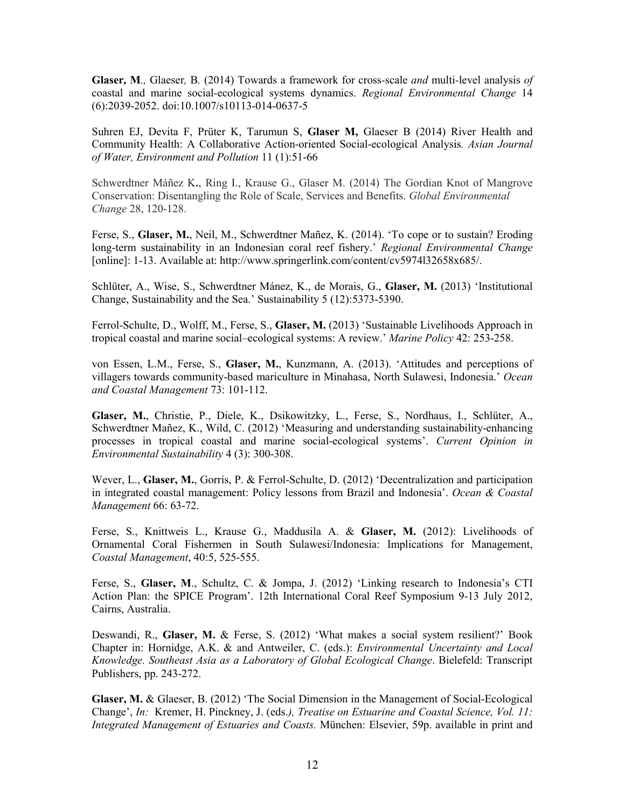**Glaser***,* **M***.,* Glaeser*,* B*.* (2014) Towards a framework for cross*-*scale *and* multi*-*level analysis *of*  coastal and marine social*-*ecological systems dynamics. *Regional Environmental Change* 14 (6):2039-2052. doi:10.1007/s10113-014-0637-5

Suhren EJ, Devita F, Prüter K, Tarumun S, **Glaser M,** Glaeser B (2014) River Health and Community Health: A Collaborative Action-oriented Social-ecological Analysis*. Asian Journal of Water, Environment and Pollution* 11 (1):51-66

Schwerdtner Máñez K**.**, Ring I., Krause G., Glaser M. (2014) The Gordian Knot of Mangrove Conservation: Disentangling the Role of Scale, Services and Benefits. *Global Environmental Change* 28, 120-128.

Ferse, S., **Glaser, M.**, Neil, M., Schwerdtner Mañez, K. (2014). 'To cope or to sustain? Eroding long-term sustainability in an Indonesian coral reef fishery.' *Regional Environmental Change*  [online]: 1-13. Available at: http://www.springerlink.com/content/cv5974l32658x685/.

Schlüter, A., Wise, S., Schwerdtner Mánez, K., de Morais, G., **Glaser, M.** (2013) 'Institutional Change, Sustainability and the Sea.' Sustainability 5 (12):5373-5390.

Ferrol-Schulte, D., Wolff, M., Ferse, S., **Glaser, M.** (2013) 'Sustainable Livelihoods Approach in tropical coastal and marine social–ecological systems: A review.' *Marine Policy* 42: 253-258.

von Essen, L.M., Ferse, S., **Glaser, M.**, Kunzmann, A. (2013). 'Attitudes and perceptions of villagers towards community-based mariculture in Minahasa, North Sulawesi, Indonesia.' *Ocean and Coastal Management* 73: 101-112.

**Glaser, M.**, Christie, P., Diele, K., Dsikowitzky, L., Ferse, S., Nordhaus, I., Schlüter, A., Schwerdtner Mañez, K., Wild, C. (2012) 'Measuring and understanding sustainability-enhancing processes in tropical coastal and marine social-ecological systems'. *Current Opinion in Environmental Sustainability* 4 (3): 300-308.

Wever, L., **Glaser, M.**, Gorris, P. & Ferrol-Schulte, D. (2012) 'Decentralization and participation in integrated coastal management: Policy lessons from Brazil and Indonesia'. *Ocean & Coastal Management* 66: 63-72.

Ferse, S., Knittweis L., Krause G., Maddusila A. & **Glaser, M.** (2012): Livelihoods of Ornamental Coral Fishermen in South Sulawesi/Indonesia: Implications for Management, *Coastal Management*, 40:5, 525-555.

Ferse, S., Glaser, M., Schultz, C. & Jompa, J. (2012) 'Linking research to Indonesia's CTI Action Plan: the SPICE Program'. 12th International Coral Reef Symposium 9-13 July 2012, Cairns, Australia.

Deswandi, R., **Glaser, M.** & Ferse, S. (2012) 'What makes a social system resilient?' Book Chapter in: Hornidge, A.K. & and Antweiler, C. (eds.): *Environmental Uncertainty and Local Knowledge. Southeast Asia as a Laboratory of Global Ecological Change*. Bielefeld: Transcript Publishers, pp. 243-272.

**Glaser, M.** & Glaeser, B. (2012) 'The Social Dimension in the Management of Social-Ecological Change', *In:* Kremer, H. Pinckney, J. (eds.*), Treatise on Estuarine and Coastal Science, Vol. 11: Integrated Management of Estuaries and Coasts.* München: Elsevier, 59p. available in print and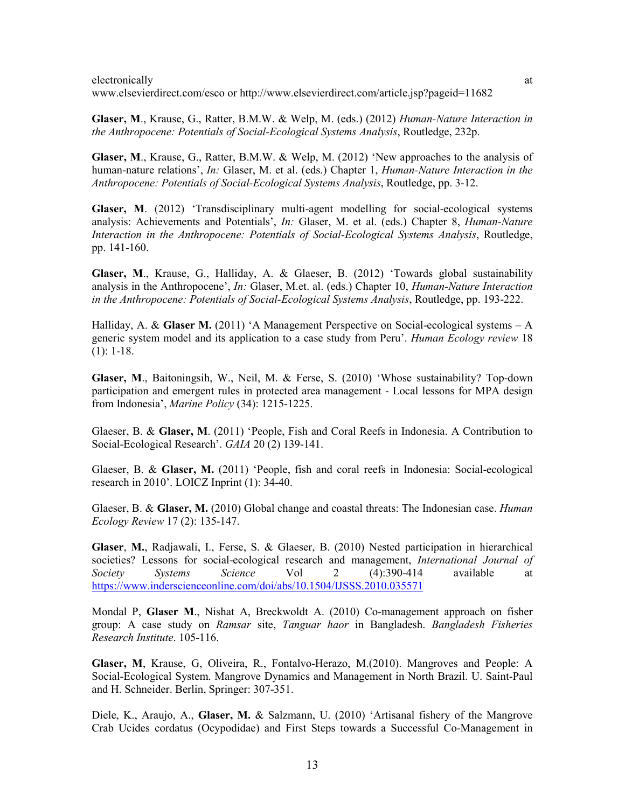electronically at a state of the state of the state of the state of the state of the state of the state of the state of the state of the state of the state of the state of the state of the state of the state of the state o

www.elsevierdirect.com/esco or http://www.elsevierdirect.com/article.jsp?pageid=11682

**Glaser, M**., Krause, G., Ratter, B.M.W. & Welp, M. (eds.) (2012) *Human-Nature Interaction in the Anthropocene: Potentials of Social-Ecological Systems Analysis*, Routledge, 232p.

**Glaser, M**., Krause, G., Ratter, B.M.W. & Welp, M. (2012) 'New approaches to the analysis of human-nature relations', *In:* Glaser, M. et al. (eds.) Chapter 1, *Human-Nature Interaction in the Anthropocene: Potentials of Social-Ecological Systems Analysis*, Routledge, pp. 3-12.

**Glaser, M**. (2012) 'Transdisciplinary multi-agent modelling for social-ecological systems analysis: Achievements and Potentials', *In:* Glaser, M. et al. (eds.) Chapter 8, *Human-Nature Interaction in the Anthropocene: Potentials of Social-Ecological Systems Analysis*, Routledge, pp. 141-160.

**Glaser, M**., Krause, G., Halliday, A. & Glaeser, B. (2012) 'Towards global sustainability analysis in the Anthropocene', *In:* Glaser, M.et. al. (eds.) Chapter 10, *Human-Nature Interaction in the Anthropocene: Potentials of Social-Ecological Systems Analysis*, Routledge, pp. 193-222.

Halliday, A. & Glaser M. (2011) 'A Management Perspective on Social-ecological systems - A generic system model and its application to a case study from Peru'. *Human Ecology review* 18 (1): 1-18.

**Glaser, M**., Baitoningsih, W., Neil, M. & Ferse, S. (2010) 'Whose sustainability? Top-down participation and emergent rules in protected area management - Local lessons for MPA design from Indonesia', *Marine Policy* (34): 1215-1225.

Glaeser, B. & **Glaser, M**. (2011) 'People, Fish and Coral Reefs in Indonesia. A Contribution to Social-Ecological Research'. *GAIA* 20 (2) 139-141.

Glaeser, B. & **Glaser, M.** (2011) 'People, fish and coral reefs in Indonesia: Social-ecological research in 2010'. LOICZ Inprint (1): 34-40.

Glaeser, B. & **Glaser, M.** (2010) Global change and coastal threats: The Indonesian case. *Human Ecology Review* 17 (2): 135-147.

**Glaser**, **M.**, Radjawali, I., Ferse, S. & Glaeser, B. (2010) Nested participation in hierarchical societies? Lessons for social-ecological research and management, *International Journal of Society Systems Science* Vol 2 (4):390-414 available at <https://www.inderscienceonline.com/doi/abs/10.1504/IJSSS.2010.035571>

Mondal P, **Glaser M**., Nishat A, Breckwoldt A. (2010) Co-management approach on fisher group: A case study on *Ramsar* site, *Tanguar haor* in Bangladesh. *Bangladesh Fisheries Research Institute*. 105-116.

**Glaser, M**, Krause, G, Oliveira, R., Fontalvo-Herazo, M.(2010). Mangroves and People: A Social-Ecological System. Mangrove Dynamics and Management in North Brazil. U. Saint-Paul and H. Schneider. Berlin, Springer: 307-351.

Diele, K., Araujo, A., **Glaser, M.** & Salzmann, U. (2010) 'Artisanal fishery of the Mangrove Crab Ucides cordatus (Ocypodidae) and First Steps towards a Successful Co-Management in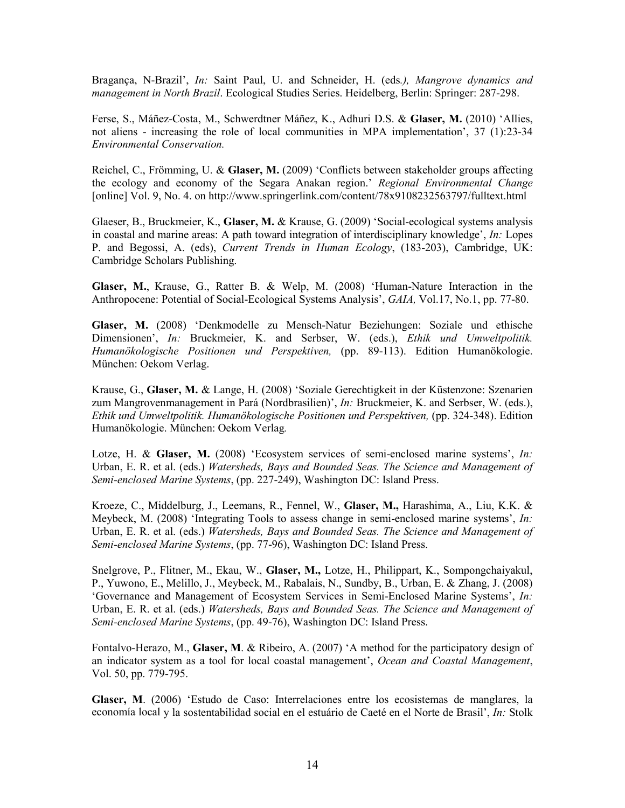Bragança, N-Brazil', *In:* Saint Paul, U. and Schneider, H. (eds*.), Mangrove dynamics and management in North Brazil*. Ecological Studies Series. Heidelberg, Berlin: Springer: 287-298.

Ferse, S., Máñez-Costa, M., Schwerdtner Máñez, K., Adhuri D.S. & **Glaser, M.** (2010) 'Allies, not aliens - increasing the role of local communities in MPA implementation', 37 (1):23-34 *Environmental Conservation.*

Reichel, C., Frömming, U. & **Glaser, M.** (2009) 'Conflicts between stakeholder groups affecting the ecology and economy of the Segara Anakan region.' *Regional Environmental Change* [online] [Vol. 9, No.](http://www.springerlink.com/content/j6t78812r1qw/?p=6ae1165dd6b44a249dfe7698fef5edae&pi=0) 4. on<http://www.springerlink.com/content/78x9108232563797/fulltext.html>

Glaeser, B., Bruckmeier, K., **Glaser, M.** & Krause, G. (2009) 'Social-ecological systems analysis in coastal and marine areas: A path toward integration of interdisciplinary knowledge', *In:* Lopes P. and Begossi, A. (eds), *Current Trends in Human Ecology*, (183-203), Cambridge, UK: Cambridge Scholars Publishing.

**Glaser, M.**, Krause, G., Ratter B. & Welp, M. (2008) 'Human-Nature Interaction in the Anthropocene: Potential of Social-Ecological Systems Analysis', *GAIA,* Vol.17, No.1, pp. 77-80.

**Glaser, M.** (2008) 'Denkmodelle zu Mensch-Natur Beziehungen: Soziale und ethische Dimensionen', *In:* Bruckmeier, K. and Serbser, W. (eds.), *Ethik und Umweltpolitik. Humanökologische Positionen und Perspektiven,* (pp. 89-113). Edition Humanökologie. München: Oekom Verlag.

Krause, G., **Glaser, M.** & Lange, H. (2008) 'Soziale Gerechtigkeit in der Küstenzone: Szenarien zum Mangrovenmanagement in Pará (Nordbrasilien)', *In:* Bruckmeier, K. and Serbser, W. (eds.), *Ethik und Umweltpolitik. Humanökologische Positionen und Perspektiven,* (pp. 324-348). Edition Humanökologie. München: Oekom Verlag*.*

Lotze, H. & **Glaser, M.** (2008) 'Ecosystem services of semi-enclosed marine systems', *In:* Urban, E. R. et al. (eds.) *Watersheds, Bays and Bounded Seas. The Science and Management of Semi-enclosed Marine Systems*, (pp. 227-249), Washington DC: Island Press.

Kroeze, C., Middelburg, J., Leemans, R., Fennel, W., **Glaser, M.,** Harashima, A., Liu, K.K. & Meybeck, M. (2008) 'Integrating Tools to assess change in semi-enclosed marine systems', *In:* Urban, E. R. et al. (eds.) *Watersheds, Bays and Bounded Seas. The Science and Management of Semi-enclosed Marine Systems*, (pp. 77-96), Washington DC: Island Press.

Snelgrove, P., Flitner, M., Ekau, W., **Glaser, M.,** Lotze, H., Philippart, K., Sompongchaiyakul, P., Yuwono, E., Melillo, J., Meybeck, M., Rabalais, N., Sundby, B., Urban, E. & Zhang, J. (2008) 'Governance and Management of Ecosystem Services in Semi-Enclosed Marine Systems', *In:* Urban, E. R. et al. (eds.) *Watersheds, Bays and Bounded Seas. The Science and Management of Semi-enclosed Marine Systems*, (pp. 49-76), Washington DC: Island Press.

Fontalvo-Herazo, M., **Glaser, M**. & Ribeiro, A. (2007) 'A method for the participatory design of an indicator system as a tool for local coastal management', *Ocean and Coastal Management*, Vol. 50, pp. 779-795.

**Glaser, M**. (2006) 'Estudo de Caso: Interrelaciones entre los ecosistemas de manglares, la economía local y la sostentabilidad social en el estuário de Caeté en el Norte de Brasil', *In:* Stolk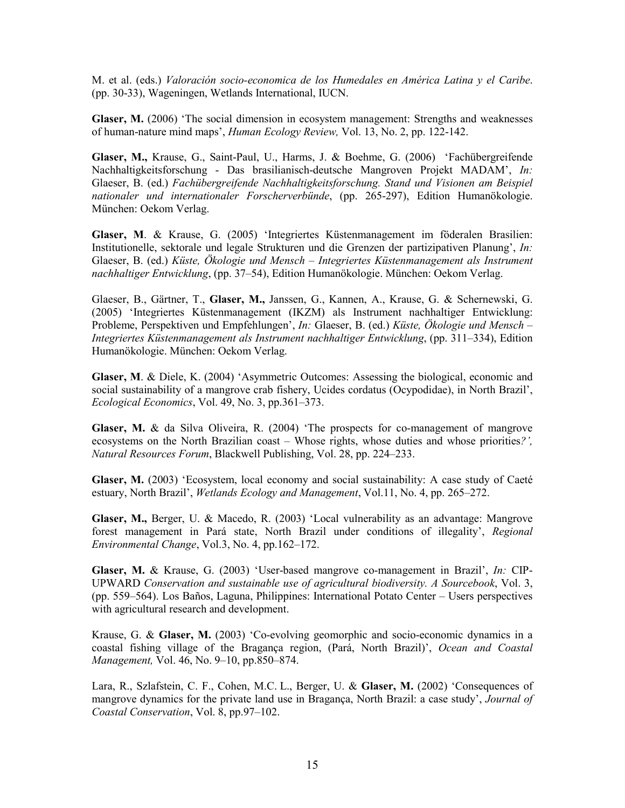M. et al. (eds.) *Valoración socio-economica de los Humedales en América Latina y el Caribe*. (pp. 30-33), Wageningen, Wetlands International, IUCN.

**Glaser, M.** (2006) 'The social dimension in ecosystem management: Strengths and weaknesses of human-nature mind maps', *Human Ecology Review,* Vol. 13, No. 2, pp. 122-142.

**Glaser, M.,** Krause, G., Saint-Paul, U., Harms, J. & Boehme, G. (2006) 'Fachübergreifende Nachhaltigkeitsforschung - Das brasilianisch-deutsche Mangroven Projekt MADAM', *In:* Glaeser, B. (ed.) *Fachübergreifende Nachhaltigkeitsforschung. Stand und Visionen am Beispiel nationaler und internationaler Forscherverbünde*, (pp. 265-297), Edition Humanökologie. München: Oekom Verlag.

**Glaser, M**. & Krause, G. (2005) 'Integriertes Küstenmanagement im föderalen Brasilien: Institutionelle, sektorale und legale Strukturen und die Grenzen der partizipativen Planung', *In:* Glaeser, B. (ed.) *Küste, Ökologie und Mensch – Integriertes Küstenmanagement als Instrument nachhaltiger Entwicklung*, (pp. 37–54), Edition Humanökologie. München: Oekom Verlag.

Glaeser, B., Gärtner, T., **Glaser, M.,** Janssen, G., Kannen, A., Krause, G. & Schernewski, G. (2005) 'Integriertes Küstenmanagement (IKZM) als Instrument nachhaltiger Entwicklung: Probleme, Perspektiven und Empfehlungen', *In:* Glaeser, B. (ed.) *Küste, Ökologie und Mensch – Integriertes Küstenmanagement als Instrument nachhaltiger Entwicklung*, (pp. 311–334), Edition Humanökologie. München: Oekom Verlag.

**Glaser, M**. & Diele, K. (2004) 'Asymmetric Outcomes: Assessing the biological, economic and social sustainability of a mangrove crab fishery, Ucides cordatus (Ocypodidae), in North Brazil', *Ecological Economics*, Vol. 49, No. 3, pp.361–373.

**Glaser, M.** & da Silva Oliveira, R. (2004) 'The prospects for co-management of mangrove ecosystems on the North Brazilian coast – Whose rights, whose duties and whose priorities*?', Natural Resources Forum*, Blackwell Publishing, Vol. 28, pp. 224–233.

**Glaser, M.** (2003) 'Ecosystem, local economy and social sustainability: A case study of Caeté estuary, North Brazil', *Wetlands Ecology and Management*, Vol.11, No. 4, pp. 265–272.

**Glaser, M.,** Berger, U. & Macedo, R. (2003) 'Local vulnerability as an advantage: Mangrove forest management in Pará state, North Brazil under conditions of illegality', *Regional Environmental Change*, Vol.3, No. 4, pp.162–172.

**Glaser, M.** & Krause, G. (2003) 'User-based mangrove co-management in Brazil', *In:* CIP-UPWARD *Conservation and sustainable use of agricultural biodiversity. A Sourcebook*, Vol. 3, (pp. 559–564). Los Baños, Laguna, Philippines: International Potato Center – Users perspectives with agricultural research and development.

Krause, G. & **Glaser, M.** (2003) 'Co-evolving geomorphic and socio-economic dynamics in a coastal fishing village of the Bragança region, (Pará, North Brazil)', *Ocean and Coastal Management,* Vol. 46, No. 9–10, pp.850–874.

Lara, R., Szlafstein, C. F., Cohen, M.C. L., Berger, U. & **Glaser, M.** (2002) 'Consequences of mangrove dynamics for the private land use in Bragança, North Brazil: a case study', *Journal of Coastal Conservation*, Vol. 8, pp.97–102.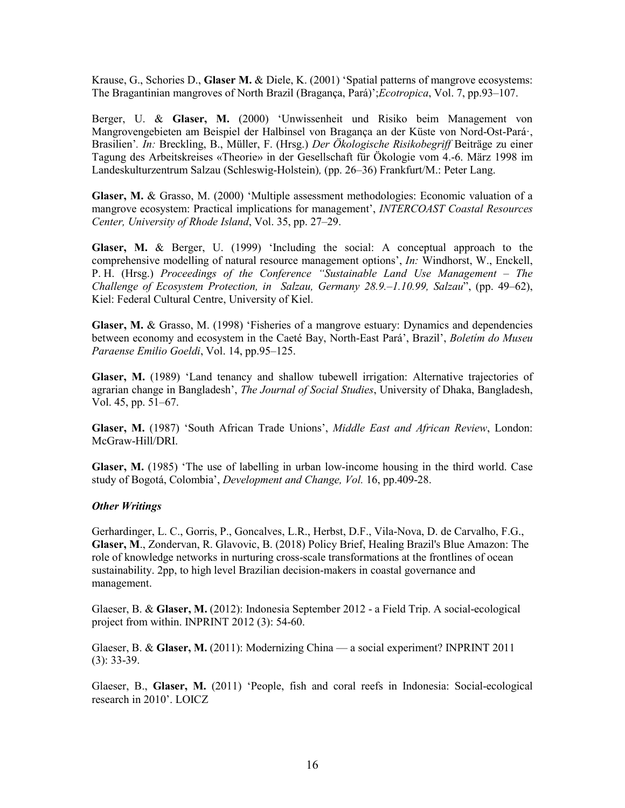Krause, G., Schories D., **Glaser M.** & Diele, K. (2001) 'Spatial patterns of mangrove ecosystems: The Bragantinian mangroves of North Brazil (Bragança, Pará)';*Ecotropica*, Vol. 7, pp.93–107.

Berger, U. & **Glaser, M.** (2000) 'Unwissenheit und Risiko beim Management von Mangrovengebieten am Beispiel der Halbinsel von Bragança an der Küste von Nord-Ost-Pará·, Brasilien'*. In:* Breckling, B., Müller, F. (Hrsg.) *Der Ökologische Risikobegriff* Beiträge zu einer Tagung des Arbeitskreises «Theorie» in der Gesellschaft für Ökologie vom 4.-6. März 1998 im Landeskulturzentrum Salzau (Schleswig-Holstein)*,* (pp. 26–36) Frankfurt/M.: Peter Lang.

**Glaser, M.** & Grasso, M. (2000) 'Multiple assessment methodologies: Economic valuation of a mangrove ecosystem: Practical implications for management', *INTERCOAST Coastal Resources Center, University of Rhode Island*, Vol. 35, pp. 27–29.

**Glaser, M.** & Berger, U. (1999) 'Including the social: A conceptual approach to the comprehensive modelling of natural resource management options', *In:* Windhorst, W., Enckell, P. H. (Hrsg.) *Proceedings of the Conference "Sustainable Land Use Management – The Challenge of Ecosystem Protection, in Salzau, Germany 28.9.–1.10.99, Salzau*", (pp. 49–62), Kiel: Federal Cultural Centre, University of Kiel.

**Glaser, M.** & Grasso, M. (1998) 'Fisheries of a mangrove estuary: Dynamics and dependencies between economy and ecosystem in the Caeté Bay, North-East Pará', Brazil', *Boletím do Museu Paraense Emilio Goeldi*, Vol. 14, pp.95–125.

**Glaser, M.** (1989) 'Land tenancy and shallow tubewell irrigation: Alternative trajectories of agrarian change in Bangladesh', *The Journal of Social Studies*, University of Dhaka, Bangladesh, Vol. 45, pp. 51–67.

**Glaser, M.** (1987) 'South African Trade Unions', *Middle East and African Review*, London: McGraw-Hill/DRI.

**Glaser, M.** (1985) 'The use of labelling in urban low-income housing in the third world. Case study of Bogotá, Colombia', *Development and Change, Vol.* 16, pp.409-28.

#### *Other Writings*

Gerhardinger, L. C., Gorris, P., Goncalves, L.R., Herbst, D.F., Vila-Nova, D. de Carvalho, F.G., **Glaser, M**., Zondervan, R. Glavovic, B. (2018) Policy Brief, Healing Brazil's Blue Amazon: The role of knowledge networks in nurturing cross-scale transformations at the frontlines of ocean sustainability. 2pp, to high level Brazilian decision-makers in coastal governance and management.

Glaeser, B. & **Glaser, M.** (2012): Indonesia September 2012 - a Field Trip. A social-ecological project from within. INPRINT 2012 (3): 54-60.

Glaeser, B. & **Glaser, M.** (2011): Modernizing China — a social experiment? INPRINT 2011 (3): 33-39.

Glaeser, B., **Glaser, M.** (2011) 'People, fish and coral reefs in Indonesia: Social-ecological research in 2010'. LOICZ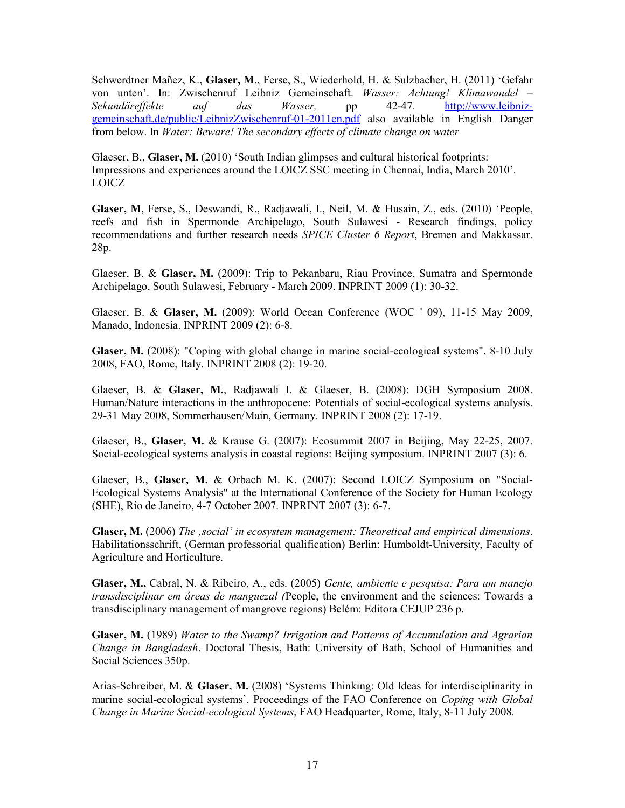Schwerdtner Mañez, K., **Glaser, M**., Ferse, S., Wiederhold, H. & Sulzbacher, H. (2011) 'Gefahr von unten'. In: Zwischenruf Leibniz Gemeinschaft. *Wasser: Achtung! Klimawandel – Sekundäreffekte auf das Wasser,* pp 42-47*.* [http://www.leibniz](http://www.leibniz-gemeinschaft.de/public/LeibnizZwischenruf-01-2011en.pdf)[gemeinschaft.de/public/LeibnizZwischenruf-01-2011en.pdf](http://www.leibniz-gemeinschaft.de/public/LeibnizZwischenruf-01-2011en.pdf) also available in English Danger from below. In *Water: Beware! The secondary effects of climate change on water*

Glaeser, B., **Glaser, M.** (2010) 'South Indian glimpses and cultural historical footprints: Impressions and experiences around the LOICZ SSC meeting in Chennai, India, March 2010'. LOICZ

**Glaser, M**, Ferse, S., Deswandi, R., Radjawali, I., Neil, M. & Husain, Z., eds. (2010) 'People, reefs and fish in Spermonde Archipelago, South Sulawesi - Research findings, policy recommendations and further research needs *SPICE Cluster 6 Report*, Bremen and Makkassar. 28p.

Glaeser, B. & **Glaser, M.** (2009): Trip to Pekanbaru, Riau Province, Sumatra and Spermonde Archipelago, South Sulawesi, February - March 2009. INPRINT 2009 (1): 30-32.

Glaeser, B. & **Glaser, M.** (2009): World Ocean Conference (WOC ' 09), 11-15 May 2009, Manado, Indonesia. INPRINT 2009 (2): 6-8.

**Glaser, M.** (2008): "Coping with global change in marine social-ecological systems", 8-10 July 2008, FAO, Rome, Italy. INPRINT 2008 (2): 19-20.

Glaeser, B. & **Glaser, M.**, Radjawali I. & Glaeser, B. (2008): DGH Symposium 2008. Human/Nature interactions in the anthropocene: Potentials of social-ecological systems analysis. 29-31 May 2008, Sommerhausen/Main, Germany. INPRINT 2008 (2): 17-19.

Glaeser, B., **Glaser, M.** & Krause G. (2007): Ecosummit 2007 in Beijing, May 22-25, 2007. Social-ecological systems analysis in coastal regions: Beijing symposium. INPRINT 2007 (3): 6.

Glaeser, B., **Glaser, M.** & Orbach M. K. (2007): Second LOICZ Symposium on "Social-Ecological Systems Analysis" at the International Conference of the Society for Human Ecology (SHE), Rio de Janeiro, 4-7 October 2007. INPRINT 2007 (3): 6-7.

**Glaser, M.** (2006) *The 'social' in ecosystem management: Theoretical and empirical dimensions*. Habilitationsschrift, (German professorial qualification) Berlin: Humboldt-University, Faculty of Agriculture and Horticulture.

**Glaser, M.,** Cabral, N. & Ribeiro, A., eds. (2005) *Gente, ambiente e pesquisa: Para um manejo transdisciplinar em áreas de manguezal (*People, the environment and the sciences: Towards a transdisciplinary management of mangrove regions) Belém: Editora CEJUP 236 p.

**Glaser, M.** (1989) *Water to the Swamp? Irrigation and Patterns of Accumulation and Agrarian Change in Bangladesh*. Doctoral Thesis, Bath: University of Bath, School of Humanities and Social Sciences 350p.

Arias-Schreiber, M. & **Glaser, M.** (2008) 'Systems Thinking: Old Ideas for interdisciplinarity in marine social-ecological systems'. Proceedings of the FAO Conference on *Coping with Global Change in Marine Social-ecological Systems*, FAO Headquarter, Rome, Italy, 8-11 July 2008*.*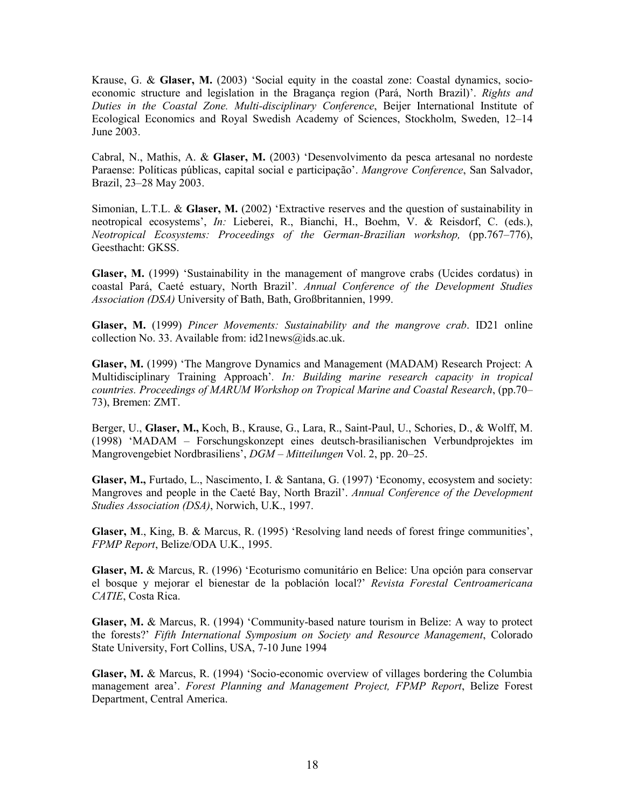Krause, G. & **Glaser, M.** (2003) 'Social equity in the coastal zone: Coastal dynamics, socioeconomic structure and legislation in the Bragança region (Pará, North Brazil)'. *Rights and Duties in the Coastal Zone. Multi-disciplinary Conference*, Beijer International Institute of Ecological Economics and Royal Swedish Academy of Sciences, Stockholm, Sweden, 12–14 June 2003.

Cabral, N., Mathis, A. & **Glaser, M.** (2003) 'Desenvolvimento da pesca artesanal no nordeste Paraense: Políticas públicas, capital social e participação'. *Mangrove Conference*, San Salvador, Brazil, 23–28 May 2003.

Simonian, L.T.L. & **Glaser, M.** (2002) 'Extractive reserves and the question of sustainability in neotropical ecosystems', *In:* Lieberei, R., Bianchi, H., Boehm, V. & Reisdorf, C. (eds.), *Neotropical Ecosystems: Proceedings of the German-Brazilian workshop,* (pp.767–776), Geesthacht: GKSS.

**Glaser, M.** (1999) 'Sustainability in the management of mangrove crabs (Ucides cordatus) in coastal Pará, Caeté estuary, North Brazil'*. Annual Conference of the Development Studies Association (DSA)* University of Bath, Bath, Großbritannien, 1999.

**Glaser, M.** (1999) *Pincer Movements: Sustainability and the mangrove crab*. ID21 online collection No. 33. Available from: [id21news@ids.ac.uk.](mailto:id21news@ids.ac.uk)

**Glaser, M.** (1999) 'The Mangrove Dynamics and Management (MADAM) Research Project: A Multidisciplinary Training Approach'*. In: Building marine research capacity in tropical countries. Proceedings of MARUM Workshop on Tropical Marine and Coastal Research*, (pp.70– 73), Bremen: ZMT.

Berger, U., **Glaser, M.,** Koch, B., Krause, G., Lara, R., Saint-Paul, U., Schories, D., & Wolff, M. (1998) 'MADAM – Forschungskonzept eines deutsch-brasilianischen Verbundprojektes im Mangrovengebiet Nordbrasiliens', *DGM – Mitteilungen* Vol. 2, pp. 20–25.

**Glaser, M.,** Furtado, L., Nascimento, I. & Santana, G. (1997) 'Economy, ecosystem and society: Mangroves and people in the Caeté Bay, North Brazil'. *Annual Conference of the Development Studies Association (DSA)*, Norwich, U.K., 1997.

**Glaser, M**., King, B. & Marcus, R. (1995) 'Resolving land needs of forest fringe communities', *FPMP Report*, Belize/ODA U.K., 1995.

**Glaser, M.** & Marcus, R. (1996) 'Ecoturismo comunitário en Belice: Una opción para conservar el bosque y mejorar el bienestar de la población local?' *Revista Forestal Centroamericana CATIE*, Costa Rica.

**Glaser, M.** & Marcus, R. (1994) 'Community-based nature tourism in Belize: A way to protect the forests?' *Fifth International Symposium on Society and Resource Management*, Colorado State University, Fort Collins, USA, 7-10 June 1994

**Glaser, M.** & Marcus, R. (1994) 'Socio-economic overview of villages bordering the Columbia management area'. *Forest Planning and Management Project, FPMP Report*, Belize Forest Department, Central America.